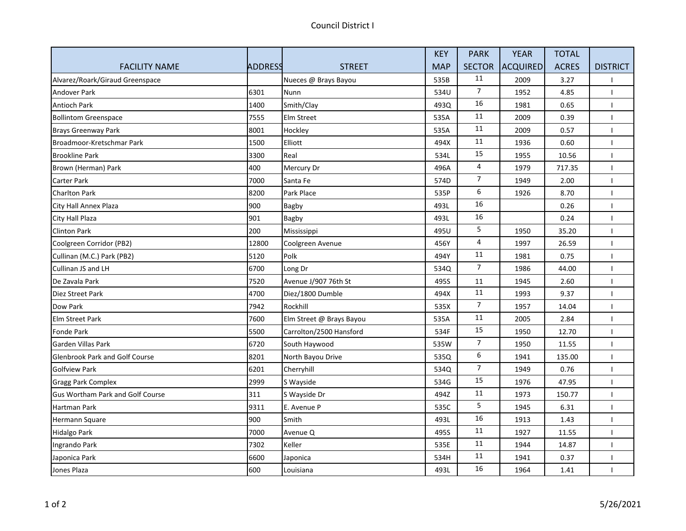|                                         |                |                          | <b>KEY</b> | <b>PARK</b>    | <b>YEAR</b>     | <b>TOTAL</b> |                 |
|-----------------------------------------|----------------|--------------------------|------------|----------------|-----------------|--------------|-----------------|
| <b>FACILITY NAME</b>                    | <b>ADDRESS</b> | <b>STREET</b>            | <b>MAP</b> | <b>SECTOR</b>  | <b>ACQUIRED</b> | <b>ACRES</b> | <b>DISTRICT</b> |
| Alvarez/Roark/Giraud Greenspace         |                | Nueces @ Brays Bayou     | 535B       | 11             | 2009            | 3.27         |                 |
| <b>Andover Park</b>                     | 6301           | Nunn                     | 534U       | $\overline{7}$ | 1952            | 4.85         |                 |
| <b>Antioch Park</b>                     | 1400           | Smith/Clay               | 493Q       | 16             | 1981            | 0.65         |                 |
| <b>Bollintom Greenspace</b>             | 7555           | Elm Street               | 535A       | 11             | 2009            | 0.39         |                 |
| <b>Brays Greenway Park</b>              | 8001           | Hockley                  | 535A       | 11             | 2009            | 0.57         |                 |
| Broadmoor-Kretschmar Park               | 1500           | Elliott                  | 494X       | $11\,$         | 1936            | 0.60         |                 |
| <b>Brookline Park</b>                   | 3300           | Real                     | 534L       | 15             | 1955            | 10.56        |                 |
| Brown (Herman) Park                     | 400            | Mercury Dr               | 496A       | 4              | 1979            | 717.35       |                 |
| Carter Park                             | 7000           | Santa Fe                 | 574D       | $\overline{7}$ | 1949            | 2.00         |                 |
| <b>Charlton Park</b>                    | 8200           | Park Place               | 535P       | 6              | 1926            | 8.70         |                 |
| City Hall Annex Plaza                   | 900            | Bagby                    | 493L       | 16             |                 | 0.26         |                 |
| City Hall Plaza                         | 901            | <b>Bagby</b>             | 493L       | 16             |                 | 0.24         |                 |
| <b>Clinton Park</b>                     | 200            | Mississippi              | 495U       | 5              | 1950            | 35.20        |                 |
| Coolgreen Corridor (PB2)                | 12800          | Coolgreen Avenue         | 456Y       | 4              | 1997            | 26.59        |                 |
| Cullinan (M.C.) Park (PB2)              | 5120           | Polk                     | 494Y       | 11             | 1981            | 0.75         |                 |
| Cullinan JS and LH                      | 6700           | Long Dr                  | 534Q       | $\overline{7}$ | 1986            | 44.00        |                 |
| De Zavala Park                          | 7520           | Avenue J/907 76th St     | 495S       | 11             | 1945            | 2.60         |                 |
| Diez Street Park                        | 4700           | Diez/1800 Dumble         | 494X       | 11             | 1993            | 9.37         |                 |
| Dow Park                                | 7942           | Rockhill                 | 535X       | $\overline{7}$ | 1957            | 14.04        |                 |
| Elm Street Park                         | 7600           | Elm Street @ Brays Bayou | 535A       | 11             | 2005            | 2.84         |                 |
| <b>Fonde Park</b>                       | 5500           | Carrolton/2500 Hansford  | 534F       | 15             | 1950            | 12.70        |                 |
| Garden Villas Park                      | 6720           | South Haywood            | 535W       | $\overline{7}$ | 1950            | 11.55        |                 |
| <b>Glenbrook Park and Golf Course</b>   | 8201           | North Bayou Drive        | 535Q       | 6              | 1941            | 135.00       |                 |
| <b>Golfview Park</b>                    | 6201           | Cherryhill               | 534Q       | 7              | 1949            | 0.76         |                 |
| <b>Gragg Park Complex</b>               | 2999           | S Wayside                | 534G       | 15             | 1976            | 47.95        |                 |
| <b>Gus Wortham Park and Golf Course</b> | 311            | S Wayside Dr             | 494Z       | 11             | 1973            | 150.77       |                 |
| Hartman Park                            | 9311           | E. Avenue P              | 535C       | 5              | 1945            | 6.31         |                 |
| Hermann Square                          | 900            | Smith                    | 493L       | 16             | 1913            | 1.43         |                 |
| <b>Hidalgo Park</b>                     | 7000           | Avenue Q                 | 495S       | 11             | 1927            | 11.55        |                 |
| Ingrando Park                           | 7302           | Keller                   | 535E       | $11\,$         | 1944            | 14.87        |                 |
| Japonica Park                           | 6600           | Japonica                 | 534H       | 11             | 1941            | 0.37         |                 |
| Jones Plaza                             | 600            | Louisiana                | 493L       | 16             | 1964            | 1.41         |                 |